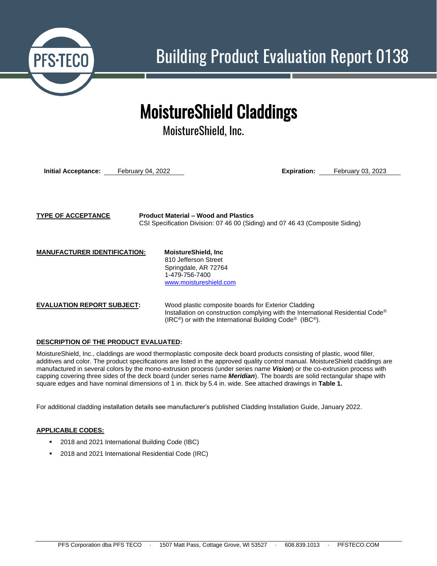

# MoistureShield Claddings

MoistureShield, Inc.

**Initial Acceptance:** February 04, 2022 **Expiration:** February 03, 2023

**TYPE OF ACCEPTANCE Product Material – Wood and Plastics** CSI Specification Division: 07 46 00 (Siding) and 07 46 43 (Composite Siding)

**MANUFACTURER IDENTIFICATION: MoistureShield, Inc**

810 Jefferson Street Springdale, AR 72764 1-479-756-7400 [www.moistureshield.com](http://www.moistureshield.com/)

**EVALUATION REPORT SUBJECT:** Wood plastic composite boards for Exterior Cladding Installation on construction complying with the International Residential Code*®* (IRC*®*) or with the International Building Code*®* (IBC*®*).

# **DESCRIPTION OF THE PRODUCT EVALUATED:**

MoistureShield, Inc., claddings are wood thermoplastic composite deck board products consisting of plastic, wood filler, additives and color. The product specifications are listed in the approved quality control manual. MoistureShield claddings are manufactured in several colors by the mono-extrusion process (under series name *Vision*) or the co-extrusion process with capping covering three sides of the deck board (under series name *Meridian*). The boards are solid rectangular shape with square edges and have nominal dimensions of 1 in. thick by 5.4 in. wide. See attached drawings in **Table 1.**

For additional cladding installation details see manufacturer's published Cladding Installation Guide, January 2022.

## **APPLICABLE CODES:**

- 2018 and 2021 International Building Code (IBC)
- 2018 and 2021 International Residential Code (IRC)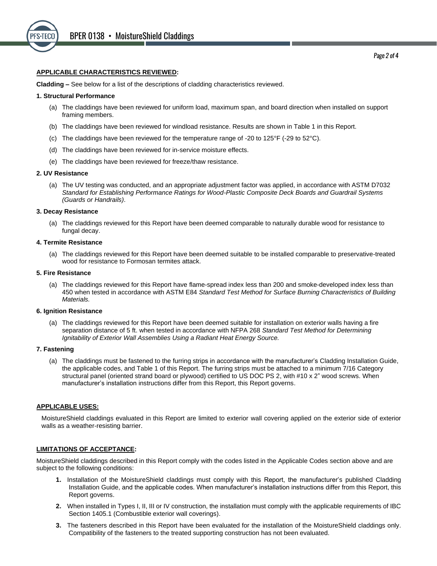

#### **APPLICABLE CHARACTERISTICS REVIEWED:**

**Cladding –** See below for a list of the descriptions of cladding characteristics reviewed.

#### **1. Structural Performance**

- (a) The claddings have been reviewed for uniform load, maximum span, and board direction when installed on support framing members.
- (b) The claddings have been reviewed for windload resistance. Results are shown in Table 1 in this Report.
- (c) The claddings have been reviewed for the temperature range of -20 to 125 $\degree$ F (-29 to 52 $\degree$ C).
- (d) The claddings have been reviewed for in-service moisture effects.
- (e) The claddings have been reviewed for freeze/thaw resistance.

#### **2. UV Resistance**

(a) The UV testing was conducted, and an appropriate adjustment factor was applied, in accordance with ASTM D7032 *Standard for Establishing Performance Ratings for Wood-Plastic Composite Deck Boards and Guardrail Systems (Guards or Handrails)*.

#### **3. Decay Resistance**

(a) The claddings reviewed for this Report have been deemed comparable to naturally durable wood for resistance to fungal decay.

#### **4. Termite Resistance**

(a) The claddings reviewed for this Report have been deemed suitable to be installed comparable to preservative-treated wood for resistance to Formosan termites attack.

#### **5. Fire Resistance**

(a) The claddings reviewed for this Report have flame-spread index less than 200 and smoke-developed index less than 450 when tested in accordance with ASTM E84 *Standard Test Method for Surface Burning Characteristics of Building Materials.*

#### **6. Ignition Resistance**

(a) The claddings reviewed for this Report have been deemed suitable for installation on exterior walls having a fire separation distance of 5 ft. when tested in accordance with NFPA 268 *Standard Test Method for Determining Ignitability of Exterior Wall Assemblies Using a Radiant Heat Energy Source.*

#### **7. Fastening**

(a) The claddings must be fastened to the furring strips in accordance with the manufacturer's Cladding Installation Guide, the applicable codes, and Table 1 of this Report. The furring strips must be attached to a minimum 7/16 Category structural panel (oriented strand board or plywood) certified to US DOC PS 2, with #10 x 2" wood screws. When manufacturer's installation instructions differ from this Report, this Report governs.

#### **APPLICABLE USES:**

MoistureShield claddings evaluated in this Report are limited to exterior wall covering applied on the exterior side of exterior walls as a weather-resisting barrier.

#### **LIMITATIONS OF ACCEPTANCE:**

MoistureShield claddings described in this Report comply with the codes listed in the Applicable Codes section above and are subject to the following conditions:

- **1.** Installation of the MoistureShield claddings must comply with this Report, the manufacturer's published Cladding Installation Guide, and the applicable codes. When manufacturer's installation instructions differ from this Report, this Report governs.
- **2.** When installed in Types I, II, III or IV construction, the installation must comply with the applicable requirements of IBC Section 1405.1 (Combustible exterior wall coverings).
- **3.** The fasteners described in this Report have been evaluated for the installation of the MoistureShield claddings only. Compatibility of the fasteners to the treated supporting construction has not been evaluated.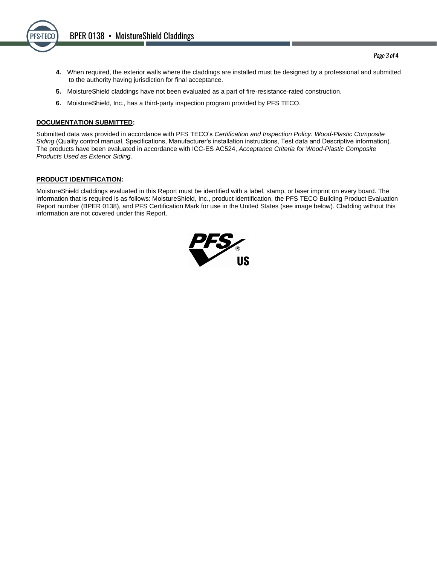

- **4.** When required, the exterior walls where the claddings are installed must be designed by a professional and submitted to the authority having jurisdiction for final acceptance.
- **5.** MoistureShield claddings have not been evaluated as a part of fire-resistance-rated construction.
- **6.** MoistureShield, Inc., has a third-party inspection program provided by PFS TECO.

## **DOCUMENTATION SUBMITTED:**

Submitted data was provided in accordance with PFS TECO's *Certification and Inspection Policy: Wood-Plastic Composite Siding* (Quality control manual, Specifications, Manufacturer's installation instructions, Test data and Descriptive information). The products have been evaluated in accordance with ICC-ES AC524, *Acceptance Criteria for Wood-Plastic Composite Products Used as Exterior Siding.*

## **PRODUCT IDENTIFICATION:**

MoistureShield claddings evaluated in this Report must be identified with a label, stamp, or laser imprint on every board. The information that is required is as follows: MoistureShield, Inc., product identification, the PFS TECO Building Product Evaluation Report number (BPER 0138), and PFS Certification Mark for use in the United States (see image below). Cladding without this information are not covered under this Report.